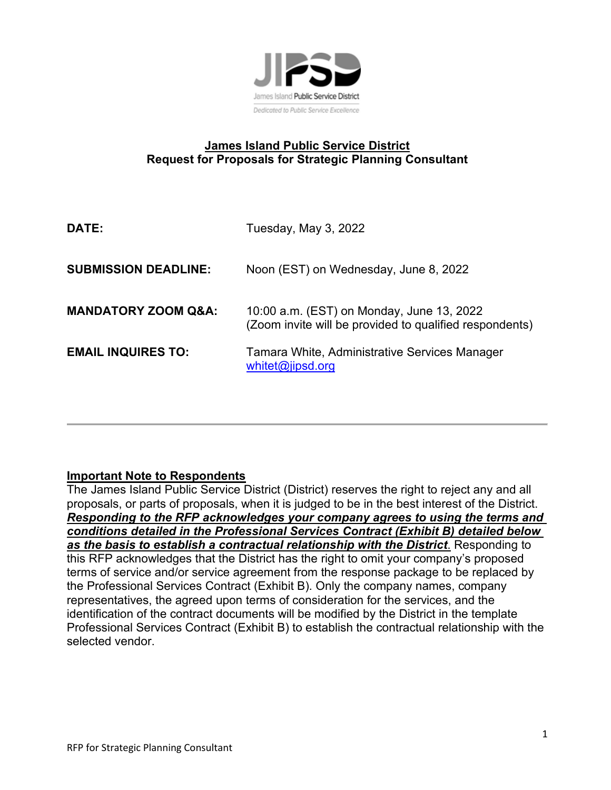

# **James Island Public Service District Request for Proposals for Strategic Planning Consultant**

| DATE:                          | Tuesday, May 3, 2022                                                                                 |
|--------------------------------|------------------------------------------------------------------------------------------------------|
| <b>SUBMISSION DEADLINE:</b>    | Noon (EST) on Wednesday, June 8, 2022                                                                |
| <b>MANDATORY ZOOM Q&amp;A:</b> | 10:00 a.m. (EST) on Monday, June 13, 2022<br>(Zoom invite will be provided to qualified respondents) |
| <b>EMAIL INQUIRES TO:</b>      | Tamara White, Administrative Services Manager<br>whitet@jipsd.org                                    |

# **Important Note to Respondents**

The James Island Public Service District (District) reserves the right to reject any and all proposals, or parts of proposals, when it is judged to be in the best interest of the District. **Responding to the RFP acknowledges your company agrees to using the terms and** *conditions detailed in the Professional Services Contract (Exhibit B) detailed below as the basis to establish a contractual relationship with the District*. Responding to this RFP acknowledges that the District has the right to omit your company's proposed terms of service and/or service agreement from the response package to be replaced by the Professional Services Contract (Exhibit B). Only the company names, company representatives, the agreed upon terms of consideration for the services, and the identification of the contract documents will be modified by the District in the template Professional Services Contract (Exhibit B) to establish the contractual relationship with the selected vendor.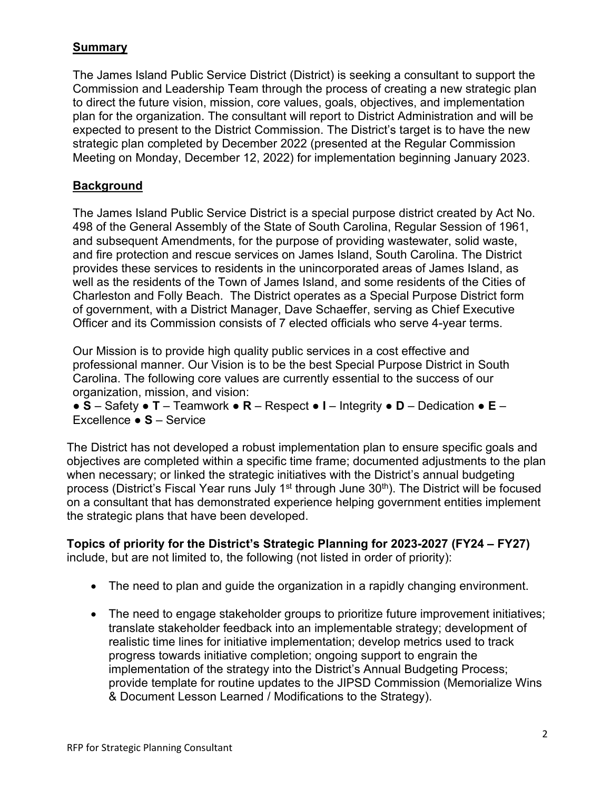## **Summary**

The James Island Public Service District (District) is seeking a consultant to support the Commission and Leadership Team through the process of creating a new strategic plan to direct the future vision, mission, core values, goals, objectives, and implementation plan for the organization. The consultant will report to District Administration and will be expected to present to the District Commission. The District's target is to have the new strategic plan completed by December 2022 (presented at the Regular Commission Meeting on Monday, December 12, 2022) for implementation beginning January 2023.

## **Background**

The James Island Public Service District is a special purpose district created by Act No. 498 of the General Assembly of the State of South Carolina, Regular Session of 1961, and subsequent Amendments, for the purpose of providing wastewater, solid waste, and fire protection and rescue services on James Island, South Carolina. The District provides these services to residents in the unincorporated areas of James Island, as well as the residents of the Town of James Island, and some residents of the Cities of Charleston and Folly Beach. The District operates as a Special Purpose District form of government, with a District Manager, Dave Schaeffer, serving as Chief Executive Officer and its Commission consists of 7 elected officials who serve 4-year terms.

Our Mission is to provide high quality public services in a cost effective and professional manner. Our Vision is to be the best Special Purpose District in South Carolina. The following core values are currently essential to the success of our organization, mission, and vision:

● **S** – Safety ● **T** – Teamwork ● **R** – Respect ● **I** – Integrity ● **D** – Dedication ● **E** – Excellence ● **S** – Service

The District has not developed a robust implementation plan to ensure specific goals and objectives are completed within a specific time frame; documented adjustments to the plan when necessary; or linked the strategic initiatives with the District's annual budgeting process (District's Fiscal Year runs July 1<sup>st</sup> through June 30<sup>th</sup>). The District will be focused on a consultant that has demonstrated experience helping government entities implement the strategic plans that have been developed.

**Topics of priority for the District's Strategic Planning for 2023-2027 (FY24 – FY27)**  include, but are not limited to, the following (not listed in order of priority):

- The need to plan and guide the organization in a rapidly changing environment.
- The need to engage stakeholder groups to prioritize future improvement initiatives; translate stakeholder feedback into an implementable strategy; development of realistic time lines for initiative implementation; develop metrics used to track progress towards initiative completion; ongoing support to engrain the implementation of the strategy into the District's Annual Budgeting Process; provide template for routine updates to the JIPSD Commission (Memorialize Wins & Document Lesson Learned / Modifications to the Strategy).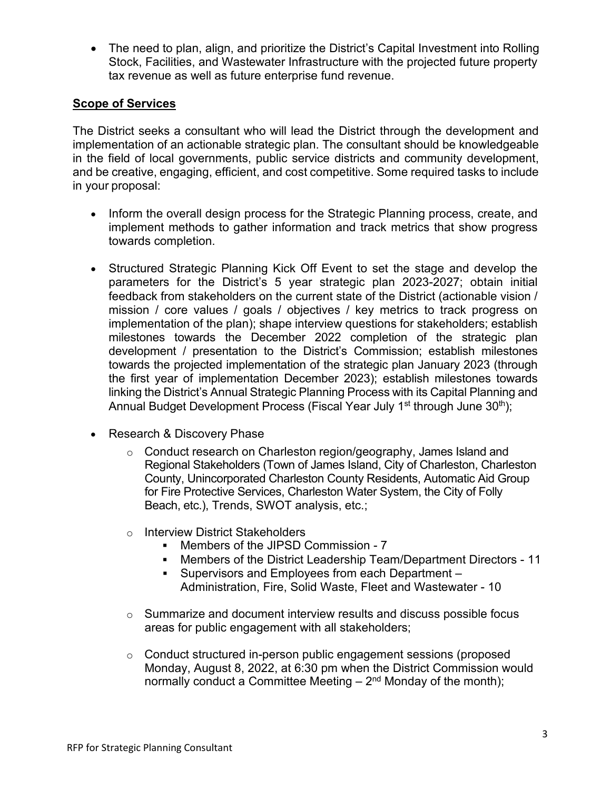• The need to plan, align, and prioritize the District's Capital Investment into Rolling Stock, Facilities, and Wastewater Infrastructure with the projected future property tax revenue as well as future enterprise fund revenue.

## **Scope of Services**

The District seeks a consultant who will lead the District through the development and implementation of an actionable strategic plan. The consultant should be knowledgeable in the field of local governments, public service districts and community development, and be creative, engaging, efficient, and cost competitive. Some required tasks to include in your proposal:

- Inform the overall design process for the Strategic Planning process, create, and implement methods to gather information and track metrics that show progress towards completion.
- Structured Strategic Planning Kick Off Event to set the stage and develop the parameters for the District's 5 year strategic plan 2023-2027; obtain initial feedback from stakeholders on the current state of the District (actionable vision / mission / core values / goals / objectives / key metrics to track progress on implementation of the plan); shape interview questions for stakeholders; establish milestones towards the December 2022 completion of the strategic plan development / presentation to the District's Commission; establish milestones towards the projected implementation of the strategic plan January 2023 (through the first year of implementation December 2023); establish milestones towards linking the District's Annual Strategic Planning Process with its Capital Planning and Annual Budget Development Process (Fiscal Year July 1<sup>st</sup> through June 30<sup>th</sup>);
- Research & Discovery Phase
	- o Conduct research on Charleston region/geography, James Island and Regional Stakeholders (Town of James Island, City of Charleston, Charleston County, Unincorporated Charleston County Residents, Automatic Aid Group for Fire Protective Services, Charleston Water System, the City of Folly Beach, etc.), Trends, SWOT analysis, etc.;
	- o Interview District Stakeholders
		- Members of the JIPSD Commission 7
		- Members of the District Leadership Team/Department Directors 11
		- Supervisors and Employees from each Department Administration, Fire, Solid Waste, Fleet and Wastewater - 10
	- $\circ$  Summarize and document interview results and discuss possible focus areas for public engagement with all stakeholders;
	- o Conduct structured in-person public engagement sessions (proposed Monday, August 8, 2022, at 6:30 pm when the District Commission would normally conduct a Committee Meeting  $-2<sup>nd</sup>$  Monday of the month);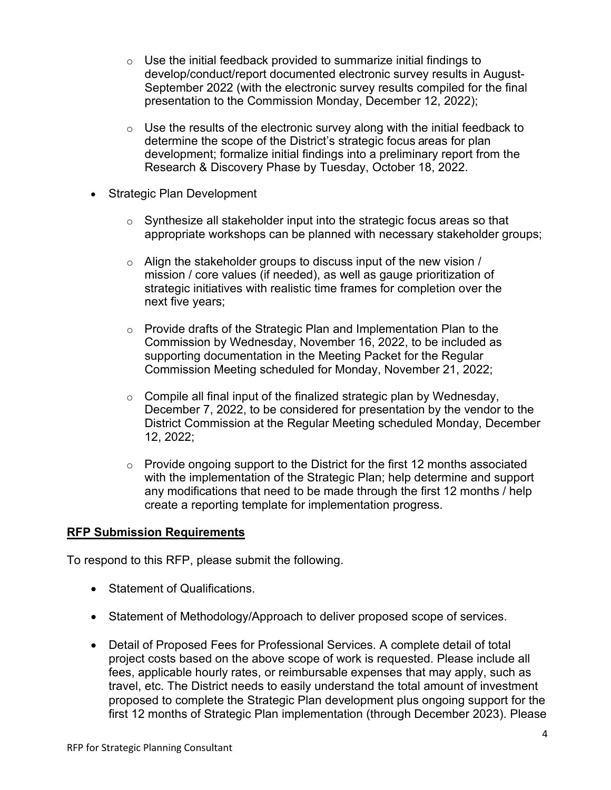- $\circ$  Use the initial feedback provided to summarize initial findings to develop/conduct/report documented electronic survey results in August-September 2022 (with the electronic survey results compiled for the final presentation to the Commission Monday, December 12, 2022);
- $\circ$  Use the results of the electronic survey along with the initial feedback to determine the scope of the District's strategic focus areas for plan development; formalize initial findings into a preliminary report from the Research & Discovery Phase by Tuesday, October 18, 2022.
- Strategic Plan Development
	- $\circ$  Synthesize all stakeholder input into the strategic focus areas so that appropriate workshops can be planned with necessary stakeholder groups;
	- $\circ$  Align the stakeholder groups to discuss input of the new vision / mission / core values (if needed), as well as gauge prioritization of strategic initiatives with realistic time frames for completion over the next five years;
	- $\circ$  Provide drafts of the Strategic Plan and Implementation Plan to the Commission by Wednesday, November 16, 2022, to be included as supporting documentation in the Meeting Packet for the Regular Commission Meeting scheduled for Monday, November 21, 2022;
	- $\circ$  Compile all final input of the finalized strategic plan by Wednesday, December 7, 2022, to be considered for presentation by the vendor to the District Commission at the Regular Meeting scheduled Monday, December 12, 2022;
	- $\circ$  Provide ongoing support to the District for the first 12 months associated with the implementation of the Strategic Plan; help determine and support any modifications that need to be made through the first 12 months / help create a reporting template for implementation progress.

#### **RFP Submission Requirements**

To respond to this RFP, please submit the following.

- Statement of Qualifications.
- Statement of Methodology/Approach to deliver proposed scope of services.
- Detail of Proposed Fees for Professional Services. A complete detail of total project costs based on the above scope of work is requested. Please include all fees, applicable hourly rates, or reimbursable expenses that may apply, such as travel, etc. The District needs to easily understand the total amount of investment proposed to complete the Strategic Plan development plus ongoing support for the first 12 months of Strategic Plan implementation (through December 2023). Please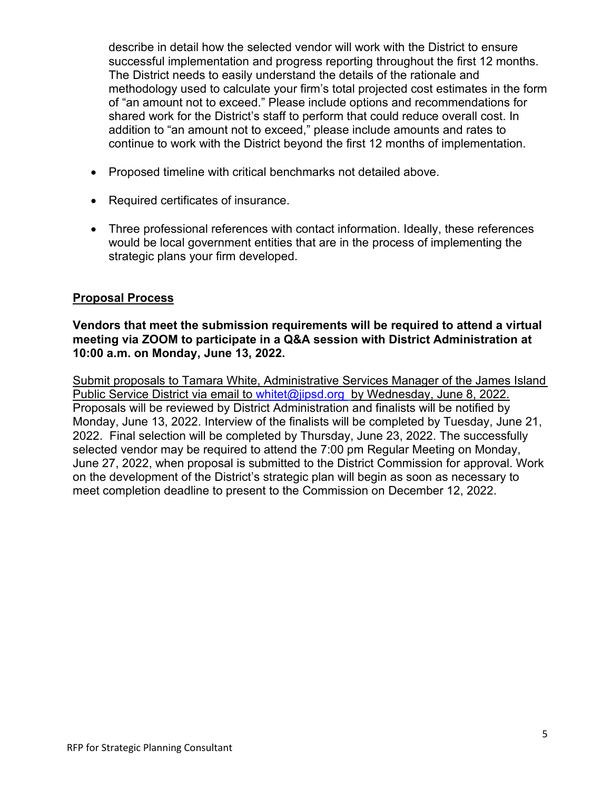describe in detail how the selected vendor will work with the District to ensure successful implementation and progress reporting throughout the first 12 months. The District needs to easily understand the details of the rationale and methodology used to calculate your firm's total projected cost estimates in the form of "an amount not to exceed." Please include options and recommendations for shared work for the District's staff to perform that could reduce overall cost. In addition to "an amount not to exceed," please include amounts and rates to continue to work with the District beyond the first 12 months of implementation.

- Proposed timeline with critical benchmarks not detailed above.
- Required certificates of insurance.
- Three professional references with contact information. Ideally, these references would be local government entities that are in the process of implementing the strategic plans your firm developed.

#### **Proposal Process**

#### **Vendors that meet the submission requirements will be required to attend a virtual meeting via ZOOM to participate in a Q&A session with District Administration at 10:00 a.m. on Monday, June 13, 2022.**

Submit proposals to Tamara White, Administrative Services Manager of the James Island Public Service District via email to [whitet@jipsd.org](mailto:whitet@jipsd.org) by Wednesday, June 8, 2022. Proposals will be reviewed by District Administration and finalists will be notified by Monday, June 13, 2022. Interview of the finalists will be completed by Tuesday, June 21, 2022. Final selection will be completed by Thursday, June 23, 2022. The successfully selected vendor may be required to attend the 7:00 pm Regular Meeting on Monday, June 27, 2022, when proposal is submitted to the District Commission for approval. Work on the development of the District's strategic plan will begin as soon as necessary to meet completion deadline to present to the Commission on December 12, 2022.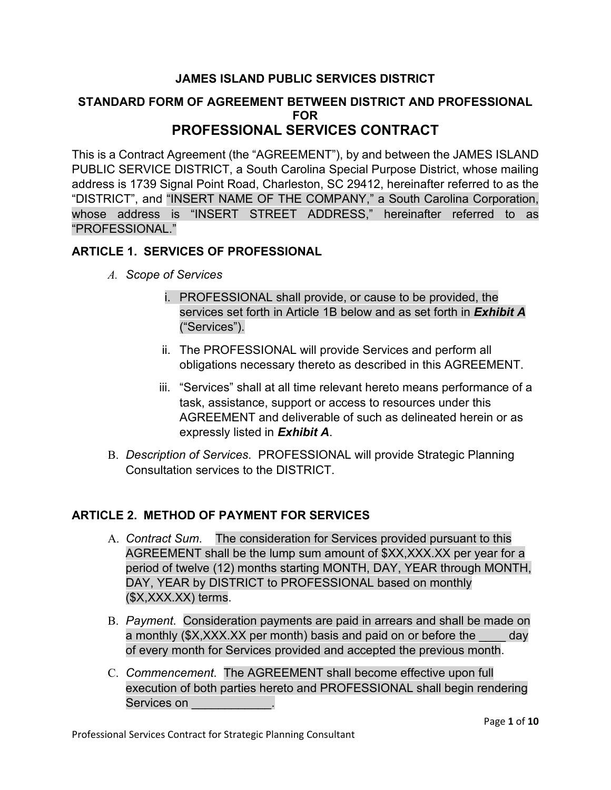## **JAMES ISLAND PUBLIC SERVICES DISTRICT**

#### **STANDARD FORM OF AGREEMENT BETWEEN DISTRICT AND PROFESSIONAL FOR PROFESSIONAL SERVICES CONTRACT**

This is a Contract Agreement (the "AGREEMENT"), by and between the JAMES ISLAND PUBLIC SERVICE DISTRICT, a South Carolina Special Purpose District, whose mailing address is 1739 Signal Point Road, Charleston, SC 29412, hereinafter referred to as the "DISTRICT", and "INSERT NAME OF THE COMPANY," a South Carolina Corporation, whose address is "INSERT STREET ADDRESS," hereinafter referred to as "PROFESSIONAL."

## **ARTICLE 1. SERVICES OF PROFESSIONAL**

- *A. Scope of Services*
	- i. PROFESSIONAL shall provide, or cause to be provided, the services set forth in Article 1B below and as set forth in *Exhibit A* ("Services").
	- ii. The PROFESSIONAL will provide Services and perform all obligations necessary thereto as described in this AGREEMENT.
	- iii. "Services" shall at all time relevant hereto means performance of a task, assistance, support or access to resources under this AGREEMENT and deliverable of such as delineated herein or as expressly listed in *Exhibit A*.
- B. *Description of Services*. PROFESSIONAL will provide Strategic Planning Consultation services to the DISTRICT.

# **ARTICLE 2. METHOD OF PAYMENT FOR SERVICES**

- A. *Contract Sum*. The consideration for Services provided pursuant to this AGREEMENT shall be the lump sum amount of \$XX,XXX.XX per year for a period of twelve (12) months starting MONTH, DAY, YEAR through MONTH, DAY, YEAR by DISTRICT to PROFESSIONAL based on monthly (\$X,XXX.XX) terms.
- B. *Payment*. Consideration payments are paid in arrears and shall be made on a monthly (\$X,XXX.XX per month) basis and paid on or before the \_\_\_\_ day of every month for Services provided and accepted the previous month.
- C. *Commencement*. The AGREEMENT shall become effective upon full execution of both parties hereto and PROFESSIONAL shall begin rendering Services on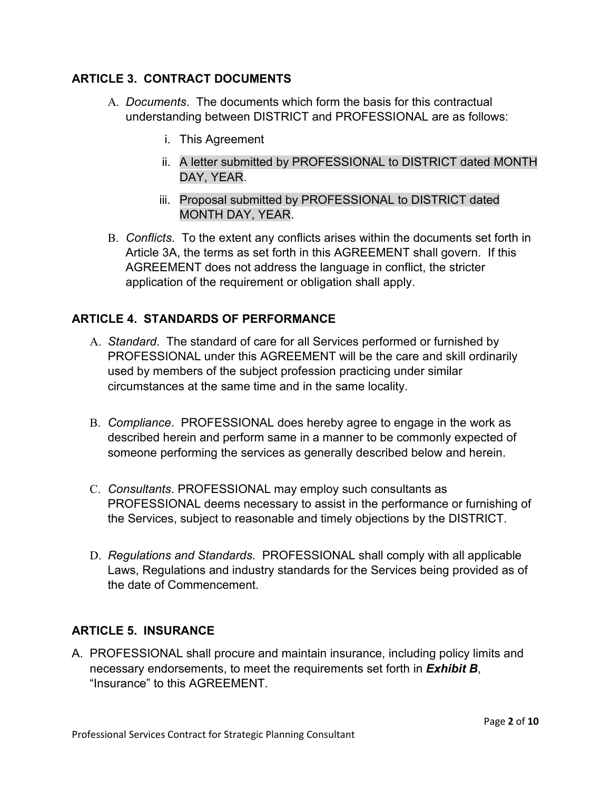# **ARTICLE 3. CONTRACT DOCUMENTS**

- A. *Documents*. The documents which form the basis for this contractual understanding between DISTRICT and PROFESSIONAL are as follows:
	- i. This Agreement
	- ii. A letter submitted by PROFESSIONAL to DISTRICT dated MONTH DAY, YEAR.
	- iii. Proposal submitted by PROFESSIONAL to DISTRICT dated MONTH DAY, YEAR.
- B. *Conflicts*. To the extent any conflicts arises within the documents set forth in Article 3A, the terms as set forth in this AGREEMENT shall govern. If this AGREEMENT does not address the language in conflict, the stricter application of the requirement or obligation shall apply.

## **ARTICLE 4. STANDARDS OF PERFORMANCE**

- A. *Standard*. The standard of care for all Services performed or furnished by PROFESSIONAL under this AGREEMENT will be the care and skill ordinarily used by members of the subject profession practicing under similar circumstances at the same time and in the same locality.
- B. *Compliance*. PROFESSIONAL does hereby agree to engage in the work as described herein and perform same in a manner to be commonly expected of someone performing the services as generally described below and herein.
- C. *Consultants*. PROFESSIONAL may employ such consultants as PROFESSIONAL deems necessary to assist in the performance or furnishing of the Services, subject to reasonable and timely objections by the DISTRICT.
- D. *Regulations and Standards*. PROFESSIONAL shall comply with all applicable Laws, Regulations and industry standards for the Services being provided as of the date of Commencement.

#### **ARTICLE 5. INSURANCE**

A. PROFESSIONAL shall procure and maintain insurance, including policy limits and necessary endorsements, to meet the requirements set forth in *Exhibit B*, "Insurance" to this AGREEMENT.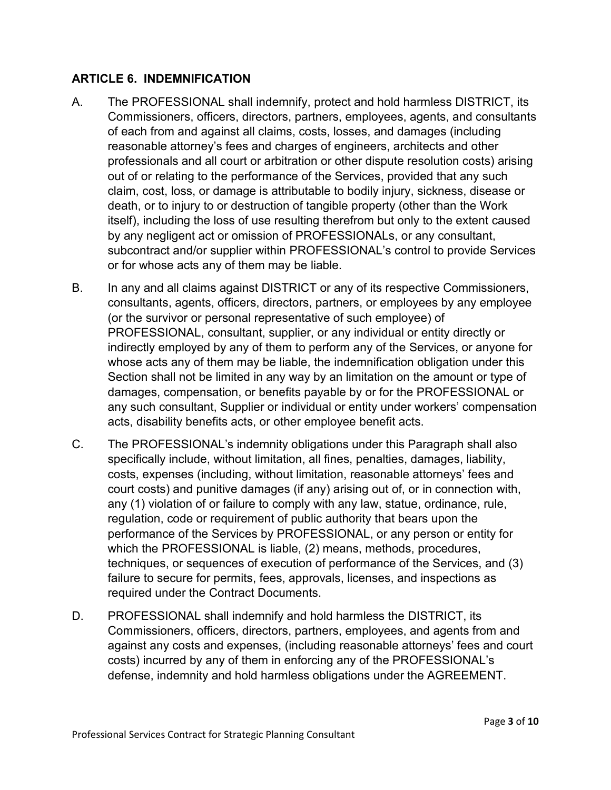## **ARTICLE 6. INDEMNIFICATION**

- A. The PROFESSIONAL shall indemnify, protect and hold harmless DISTRICT, its Commissioners, officers, directors, partners, employees, agents, and consultants of each from and against all claims, costs, losses, and damages (including reasonable attorney's fees and charges of engineers, architects and other professionals and all court or arbitration or other dispute resolution costs) arising out of or relating to the performance of the Services, provided that any such claim, cost, loss, or damage is attributable to bodily injury, sickness, disease or death, or to injury to or destruction of tangible property (other than the Work itself), including the loss of use resulting therefrom but only to the extent caused by any negligent act or omission of PROFESSIONALs, or any consultant, subcontract and/or supplier within PROFESSIONAL's control to provide Services or for whose acts any of them may be liable.
- B. In any and all claims against DISTRICT or any of its respective Commissioners, consultants, agents, officers, directors, partners, or employees by any employee (or the survivor or personal representative of such employee) of PROFESSIONAL, consultant, supplier, or any individual or entity directly or indirectly employed by any of them to perform any of the Services, or anyone for whose acts any of them may be liable, the indemnification obligation under this Section shall not be limited in any way by an limitation on the amount or type of damages, compensation, or benefits payable by or for the PROFESSIONAL or any such consultant, Supplier or individual or entity under workers' compensation acts, disability benefits acts, or other employee benefit acts.
- C. The PROFESSIONAL's indemnity obligations under this Paragraph shall also specifically include, without limitation, all fines, penalties, damages, liability, costs, expenses (including, without limitation, reasonable attorneys' fees and court costs) and punitive damages (if any) arising out of, or in connection with, any (1) violation of or failure to comply with any law, statue, ordinance, rule, regulation, code or requirement of public authority that bears upon the performance of the Services by PROFESSIONAL, or any person or entity for which the PROFESSIONAL is liable, (2) means, methods, procedures, techniques, or sequences of execution of performance of the Services, and (3) failure to secure for permits, fees, approvals, licenses, and inspections as required under the Contract Documents.
- D. PROFESSIONAL shall indemnify and hold harmless the DISTRICT, its Commissioners, officers, directors, partners, employees, and agents from and against any costs and expenses, (including reasonable attorneys' fees and court costs) incurred by any of them in enforcing any of the PROFESSIONAL's defense, indemnity and hold harmless obligations under the AGREEMENT.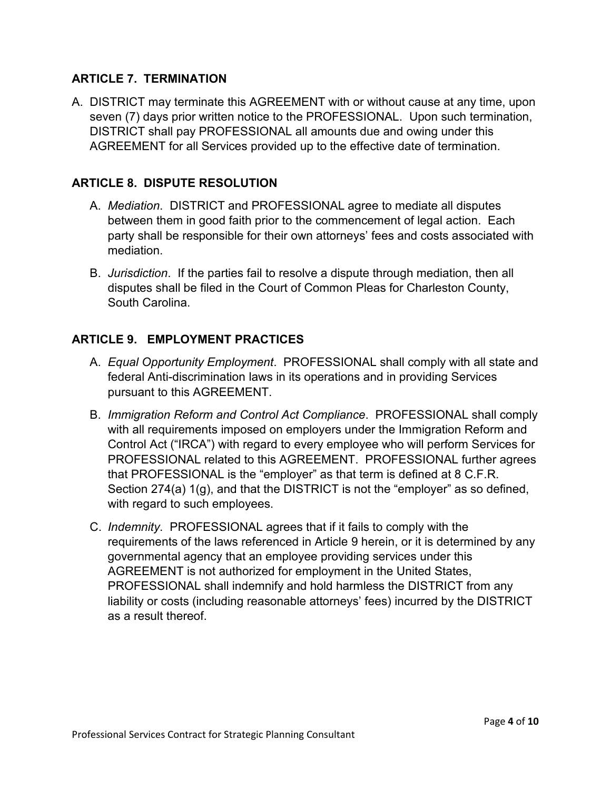## **ARTICLE 7. TERMINATION**

A. DISTRICT may terminate this AGREEMENT with or without cause at any time, upon seven (7) days prior written notice to the PROFESSIONAL. Upon such termination, DISTRICT shall pay PROFESSIONAL all amounts due and owing under this AGREEMENT for all Services provided up to the effective date of termination.

## **ARTICLE 8. DISPUTE RESOLUTION**

- A. *Mediation*. DISTRICT and PROFESSIONAL agree to mediate all disputes between them in good faith prior to the commencement of legal action. Each party shall be responsible for their own attorneys' fees and costs associated with mediation.
- B. *Jurisdiction*. If the parties fail to resolve a dispute through mediation, then all disputes shall be filed in the Court of Common Pleas for Charleston County, South Carolina.

## **ARTICLE 9. EMPLOYMENT PRACTICES**

- A. *Equal Opportunity Employment*. PROFESSIONAL shall comply with all state and federal Anti-discrimination laws in its operations and in providing Services pursuant to this AGREEMENT.
- B. *Immigration Reform and Control Act Compliance*. PROFESSIONAL shall comply with all requirements imposed on employers under the Immigration Reform and Control Act ("IRCA") with regard to every employee who will perform Services for PROFESSIONAL related to this AGREEMENT. PROFESSIONAL further agrees that PROFESSIONAL is the "employer" as that term is defined at 8 C.F.R. Section 274(a) 1(g), and that the DISTRICT is not the "employer" as so defined, with regard to such employees.
- C. *Indemnity*. PROFESSIONAL agrees that if it fails to comply with the requirements of the laws referenced in Article 9 herein, or it is determined by any governmental agency that an employee providing services under this AGREEMENT is not authorized for employment in the United States, PROFESSIONAL shall indemnify and hold harmless the DISTRICT from any liability or costs (including reasonable attorneys' fees) incurred by the DISTRICT as a result thereof.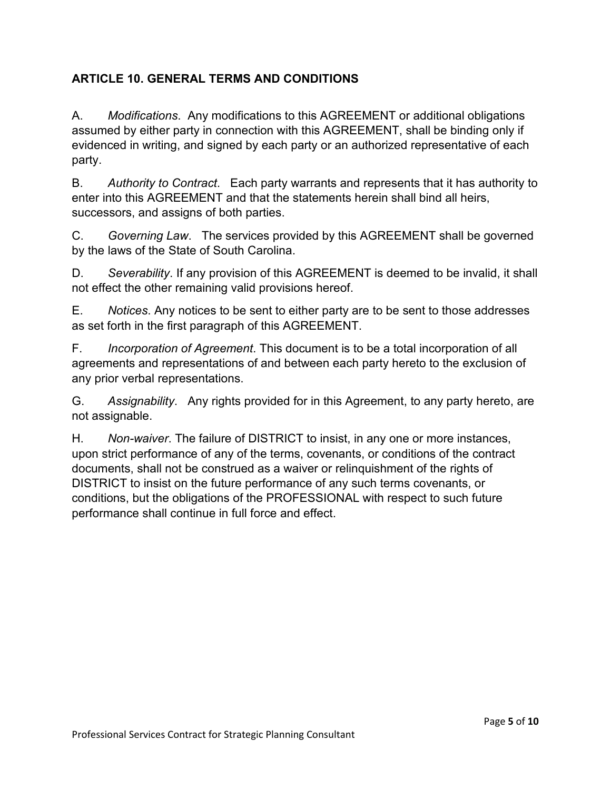# **ARTICLE 10. GENERAL TERMS AND CONDITIONS**

A. *Modifications*. Any modifications to this AGREEMENT or additional obligations assumed by either party in connection with this AGREEMENT, shall be binding only if evidenced in writing, and signed by each party or an authorized representative of each party.

B. *Authority to Contract*. Each party warrants and represents that it has authority to enter into this AGREEMENT and that the statements herein shall bind all heirs, successors, and assigns of both parties.

C. *Governing Law*. The services provided by this AGREEMENT shall be governed by the laws of the State of South Carolina.

D. *Severability*. If any provision of this AGREEMENT is deemed to be invalid, it shall not effect the other remaining valid provisions hereof.

E. *Notices*. Any notices to be sent to either party are to be sent to those addresses as set forth in the first paragraph of this AGREEMENT.

F. *Incorporation of Agreement*. This document is to be a total incorporation of all agreements and representations of and between each party hereto to the exclusion of any prior verbal representations.

G. *Assignability*. Any rights provided for in this Agreement, to any party hereto, are not assignable.

H. *Non-waiver*. The failure of DISTRICT to insist, in any one or more instances, upon strict performance of any of the terms, covenants, or conditions of the contract documents, shall not be construed as a waiver or relinquishment of the rights of DISTRICT to insist on the future performance of any such terms covenants, or conditions, but the obligations of the PROFESSIONAL with respect to such future performance shall continue in full force and effect.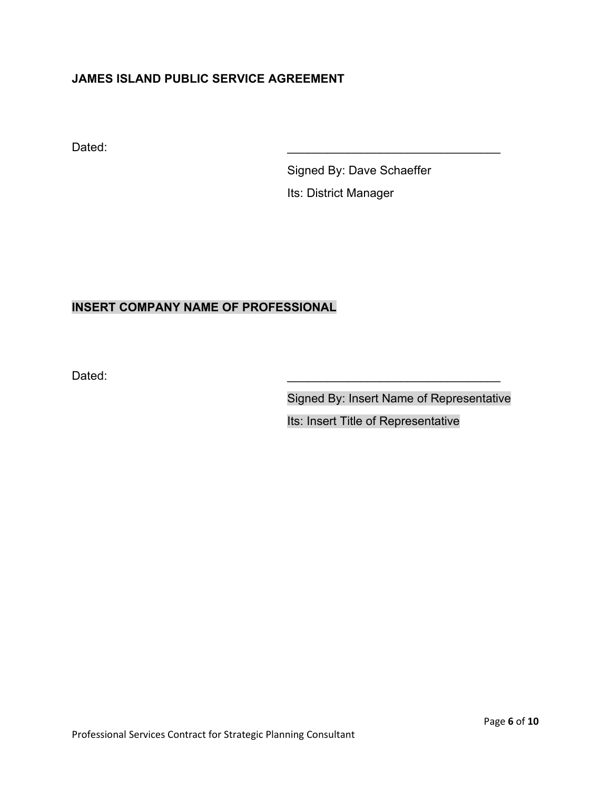# **JAMES ISLAND PUBLIC SERVICE AGREEMENT**

Dated: \_\_\_\_\_\_\_\_\_\_\_\_\_\_\_\_\_\_\_\_\_\_\_\_\_\_\_\_\_\_\_\_

Signed By: Dave Schaeffer Its: District Manager

# **INSERT COMPANY NAME OF PROFESSIONAL**

Dated: \_\_\_\_\_\_\_\_\_\_\_\_\_\_\_\_\_\_\_\_\_\_\_\_\_\_\_\_\_\_\_\_

Signed By: Insert Name of Representative

Its: Insert Title of Representative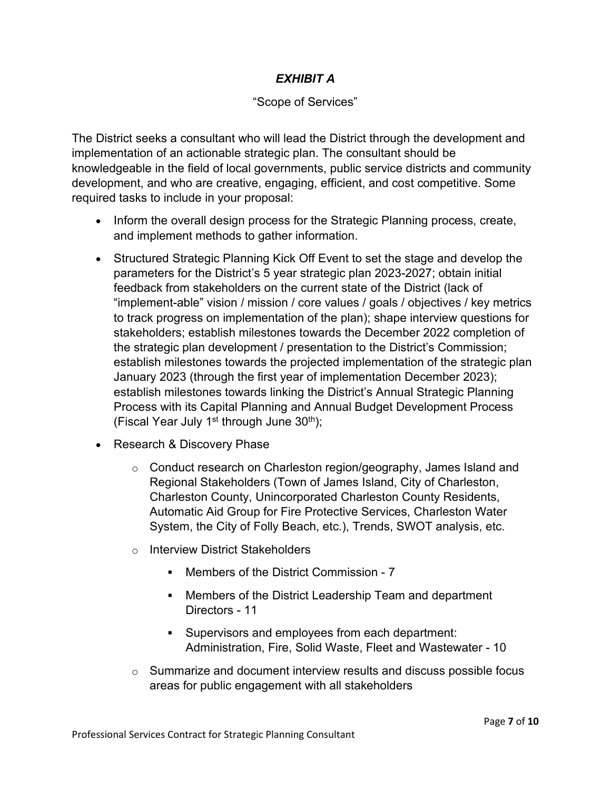# *EXHIBIT A*

## "Scope of Services"

The District seeks a consultant who will lead the District through the development and implementation of an actionable strategic plan. The consultant should be knowledgeable in the field of local governments, public service districts and community development, and who are creative, engaging, efficient, and cost competitive. Some required tasks to include in your proposal:

- Inform the overall design process for the Strategic Planning process, create, and implement methods to gather information.
- Structured Strategic Planning Kick Off Event to set the stage and develop the parameters for the District's 5 year strategic plan 2023-2027; obtain initial feedback from stakeholders on the current state of the District (lack of "implement-able" vision / mission / core values / goals / objectives / key metrics to track progress on implementation of the plan); shape interview questions for stakeholders; establish milestones towards the December 2022 completion of the strategic plan development / presentation to the District's Commission; establish milestones towards the projected implementation of the strategic plan January 2023 (through the first year of implementation December 2023); establish milestones towards linking the District's Annual Strategic Planning Process with its Capital Planning and Annual Budget Development Process (Fiscal Year July 1<sup>st</sup> through June  $30<sup>th</sup>$ );
- Research & Discovery Phase
	- $\circ$  Conduct research on Charleston region/geography, James Island and Regional Stakeholders (Town of James Island, City of Charleston, Charleston County, Unincorporated Charleston County Residents, Automatic Aid Group for Fire Protective Services, Charleston Water System, the City of Folly Beach, etc.), Trends, SWOT analysis, etc.
	- o Interview District Stakeholders
		- Members of the District Commission 7
		- Members of the District Leadership Team and department Directors - 11
		- Supervisors and employees from each department: Administration, Fire, Solid Waste, Fleet and Wastewater - 10
	- $\circ$  Summarize and document interview results and discuss possible focus areas for public engagement with all stakeholders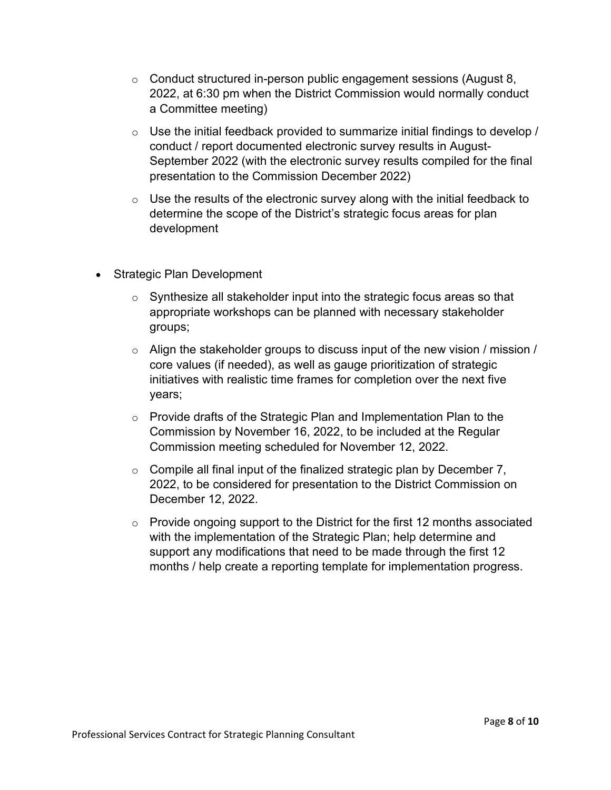- $\circ$  Conduct structured in-person public engagement sessions (August 8, 2022, at 6:30 pm when the District Commission would normally conduct a Committee meeting)
- $\circ$  Use the initial feedback provided to summarize initial findings to develop / conduct / report documented electronic survey results in August-September 2022 (with the electronic survey results compiled for the final presentation to the Commission December 2022)
- $\circ$  Use the results of the electronic survey along with the initial feedback to determine the scope of the District's strategic focus areas for plan development
- Strategic Plan Development
	- $\circ$  Synthesize all stakeholder input into the strategic focus areas so that appropriate workshops can be planned with necessary stakeholder groups;
	- $\circ$  Align the stakeholder groups to discuss input of the new vision / mission / core values (if needed), as well as gauge prioritization of strategic initiatives with realistic time frames for completion over the next five years;
	- $\circ$  Provide drafts of the Strategic Plan and Implementation Plan to the Commission by November 16, 2022, to be included at the Regular Commission meeting scheduled for November 12, 2022.
	- $\circ$  Compile all final input of the finalized strategic plan by December 7, 2022, to be considered for presentation to the District Commission on December 12, 2022.
	- $\circ$  Provide ongoing support to the District for the first 12 months associated with the implementation of the Strategic Plan; help determine and support any modifications that need to be made through the first 12 months / help create a reporting template for implementation progress.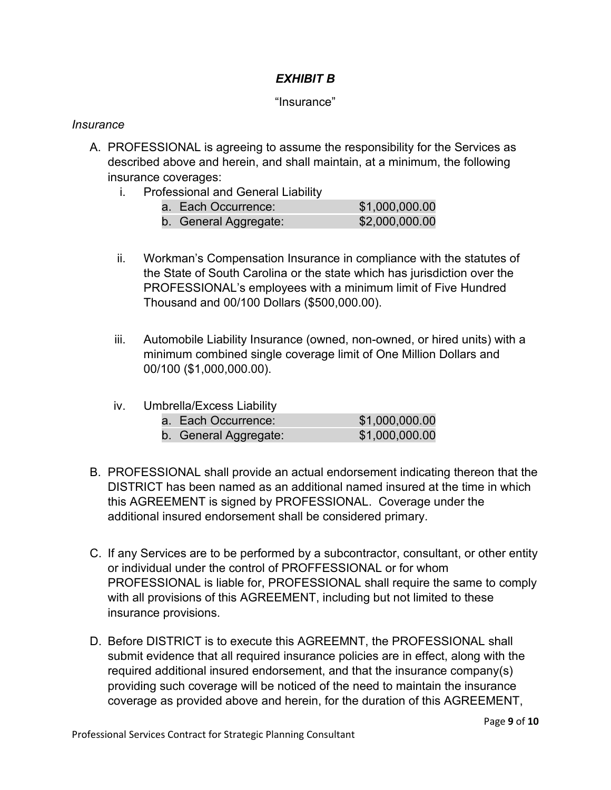# *EXHIBIT B*

#### "Insurance"

#### *Insurance*

- A. PROFESSIONAL is agreeing to assume the responsibility for the Services as described above and herein, and shall maintain, at a minimum, the following insurance coverages:
	- i. Professional and General Liability

| a. Each Occurrence:   | \$1,000,000.00 |
|-----------------------|----------------|
| b. General Aggregate: | \$2,000,000.00 |

- ii. Workman's Compensation Insurance in compliance with the statutes of the State of South Carolina or the state which has jurisdiction over the PROFESSIONAL's employees with a minimum limit of Five Hundred Thousand and 00/100 Dollars (\$500,000.00).
- iii. Automobile Liability Insurance (owned, non-owned, or hired units) with a minimum combined single coverage limit of One Million Dollars and 00/100 (\$1,000,000.00).
- iv. Umbrella/Excess Liability

| a. Each Occurrence:   | \$1,000,000.00 |
|-----------------------|----------------|
| b. General Aggregate: | \$1,000,000.00 |

- B. PROFESSIONAL shall provide an actual endorsement indicating thereon that the DISTRICT has been named as an additional named insured at the time in which this AGREEMENT is signed by PROFESSIONAL. Coverage under the additional insured endorsement shall be considered primary.
- C. If any Services are to be performed by a subcontractor, consultant, or other entity or individual under the control of PROFFESSIONAL or for whom PROFESSIONAL is liable for, PROFESSIONAL shall require the same to comply with all provisions of this AGREEMENT, including but not limited to these insurance provisions.
- D. Before DISTRICT is to execute this AGREEMNT, the PROFESSIONAL shall submit evidence that all required insurance policies are in effect, along with the required additional insured endorsement, and that the insurance company(s) providing such coverage will be noticed of the need to maintain the insurance coverage as provided above and herein, for the duration of this AGREEMENT,